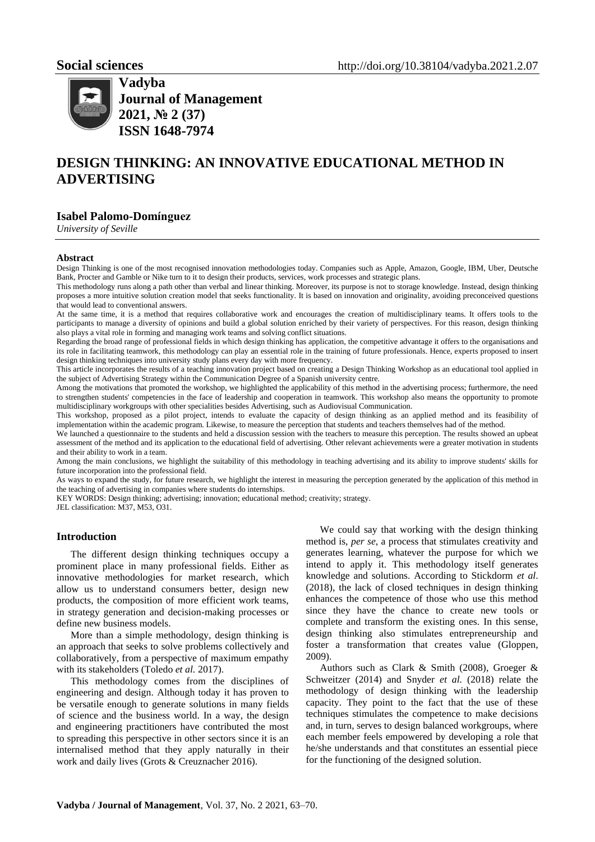

**Vadyba Journal of Management 2021, № 2 (37) ISSN 1648-7974**

# **DESIGN THINKING: AN INNOVATIVE EDUCATIONAL METHOD IN ADVERTISING**

# **Isabel Palomo-Domínguez**

*University of Seville*

#### **Abstract**

Design Thinking is one of the most recognised innovation methodologies today. Companies such as Apple, Amazon, Google, IBM, Uber, Deutsche Bank, Procter and Gamble or Nike turn to it to design their products, services, work processes and strategic plans.

This methodology runs along a path other than verbal and linear thinking. Moreover, its purpose is not to storage knowledge. Instead, design thinking proposes a more intuitive solution creation model that seeks functionality. It is based on innovation and originality, avoiding preconceived questions that would lead to conventional answers.

At the same time, it is a method that requires collaborative work and encourages the creation of multidisciplinary teams. It offers tools to the participants to manage a diversity of opinions and build a global solution enriched by their variety of perspectives. For this reason, design thinking also plays a vital role in forming and managing work teams and solving conflict situations.

Regarding the broad range of professional fields in which design thinking has application, the competitive advantage it offers to the organisations and its role in facilitating teamwork, this methodology can play an essential role in the training of future professionals. Hence, experts proposed to insert design thinking techniques into university study plans every day with more frequency.

This article incorporates the results of a teaching innovation project based on creating a Design Thinking Workshop as an educational tool applied in the subject of Advertising Strategy within the Communication Degree of a Spanish university centre.

Among the motivations that promoted the workshop, we highlighted the applicability of this method in the advertising process; furthermore, the need to strengthen students' competencies in the face of leadership and cooperation in teamwork. This workshop also means the opportunity to promote multidisciplinary workgroups with other specialities besides Advertising, such as Audiovisual Communication.

This workshop, proposed as a pilot project, intends to evaluate the capacity of design thinking as an applied method and its feasibility of implementation within the academic program. Likewise, to measure the perception that students and teachers themselves had of the method.

We launched a questionnaire to the students and held a discussion session with the teachers to measure this perception. The results showed an upbeat assessment of the method and its application to the educational field of advertising. Other relevant achievements were a greater motivation in students and their ability to work in a team.

Among the main conclusions, we highlight the suitability of this methodology in teaching advertising and its ability to improve students' skills for future incorporation into the professional field.

As ways to expand the study, for future research, we highlight the interest in measuring the perception generated by the application of this method in the teaching of advertising in companies where students do internships.

KEY WORDS: Design thinking; advertising; innovation; educational method; creativity; strategy.

JEL classification: M37, M53, O31.

#### **Introduction**

The different design thinking techniques occupy a prominent place in many professional fields. Either as innovative methodologies for market research, which allow us to understand consumers better, design new products, the composition of more efficient work teams, in strategy generation and decision-making processes or define new business models.

More than a simple methodology, design thinking is an approach that seeks to solve problems collectively and collaboratively, from a perspective of maximum empathy with its stakeholders (Toledo *et al.* 2017).

This methodology comes from the disciplines of engineering and design. Although today it has proven to be versatile enough to generate solutions in many fields of science and the business world. In a way, the design and engineering practitioners have contributed the most to spreading this perspective in other sectors since it is an internalised method that they apply naturally in their work and daily lives (Grots & Creuznacher 2016).

We could say that working with the design thinking method is, *per se*, a process that stimulates creativity and generates learning, whatever the purpose for which we intend to apply it. This methodology itself generates knowledge and solutions. According to Stickdorm *et al*. (2018), the lack of closed techniques in design thinking enhances the competence of those who use this method since they have the chance to create new tools or complete and transform the existing ones. In this sense, design thinking also stimulates entrepreneurship and foster a transformation that creates value (Gloppen, 2009).

Authors such as Clark & Smith (2008), Groeger & Schweitzer (2014) and Snyder *et al.* (2018) relate the methodology of design thinking with the leadership capacity. They point to the fact that the use of these techniques stimulates the competence to make decisions and, in turn, serves to design balanced workgroups, where each member feels empowered by developing a role that he/she understands and that constitutes an essential piece for the functioning of the designed solution.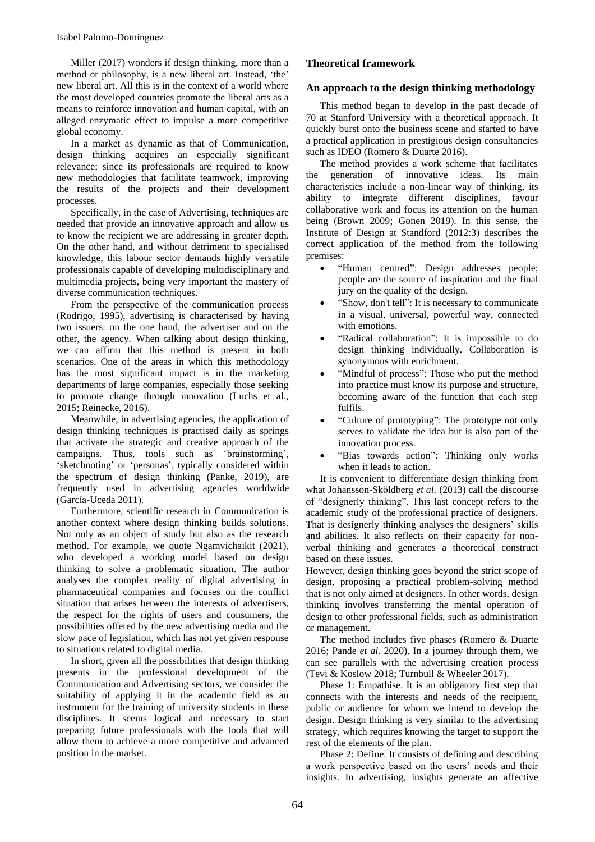Miller (2017) wonders if design thinking, more than a method or philosophy, is a new liberal art. Instead, 'the' new liberal art. All this is in the context of a world where the most developed countries promote the liberal arts as a means to reinforce innovation and human capital, with an alleged enzymatic effect to impulse a more competitive global economy.

In a market as dynamic as that of Communication, design thinking acquires an especially significant relevance; since its professionals are required to know new methodologies that facilitate teamwork, improving the results of the projects and their development processes.

Specifically, in the case of Advertising, techniques are needed that provide an innovative approach and allow us to know the recipient we are addressing in greater depth. On the other hand, and without detriment to specialised knowledge, this labour sector demands highly versatile professionals capable of developing multidisciplinary and multimedia projects, being very important the mastery of diverse communication techniques.

From the perspective of the communication process (Rodrigo, 1995), advertising is characterised by having two issuers: on the one hand, the advertiser and on the other, the agency. When talking about design thinking, we can affirm that this method is present in both scenarios. One of the areas in which this methodology has the most significant impact is in the marketing departments of large companies, especially those seeking to promote change through innovation (Luchs et al., 2015; Reinecke, 2016).

Meanwhile, in advertising agencies, the application of design thinking techniques is practised daily as springs that activate the strategic and creative approach of the campaigns. Thus, tools such as 'brainstorming', 'sketchnoting' or 'personas', typically considered within the spectrum of design thinking (Panke, 2019), are frequently used in advertising agencies worldwide (García-Uceda 2011).

Furthermore, scientific research in Communication is another context where design thinking builds solutions. Not only as an object of study but also as the research method. For example, we quote Ngamvichaikit (2021), who developed a working model based on design thinking to solve a problematic situation. The author analyses the complex reality of digital advertising in pharmaceutical companies and focuses on the conflict situation that arises between the interests of advertisers, the respect for the rights of users and consumers, the possibilities offered by the new advertising media and the slow pace of legislation, which has not yet given response to situations related to digital media.

In short, given all the possibilities that design thinking presents in the professional development of the Communication and Advertising sectors, we consider the suitability of applying it in the academic field as an instrument for the training of university students in these disciplines. It seems logical and necessary to start preparing future professionals with the tools that will allow them to achieve a more competitive and advanced position in the market.

# **Theoretical framework**

### **An approach to the design thinking methodology**

This method began to develop in the past decade of 70 at Stanford University with a theoretical approach. It quickly burst onto the business scene and started to have a practical application in prestigious design consultancies such as IDEO (Romero & Duarte 2016).

The method provides a work scheme that facilitates the generation of innovative ideas. Its main characteristics include a non-linear way of thinking, its ability to integrate different disciplines, favour collaborative work and focus its attention on the human being (Brown 2009; Gonen 2019). In this sense, the Institute of Design at Standford (2012:3) describes the correct application of the method from the following premises:

- "Human centred": Design addresses people; people are the source of inspiration and the final jury on the quality of the design.
- "Show, don't tell": It is necessary to communicate in a visual, universal, powerful way, connected with emotions.
- "Radical collaboration": It is impossible to do design thinking individually. Collaboration is synonymous with enrichment.
- "Mindful of process": Those who put the method into practice must know its purpose and structure, becoming aware of the function that each step fulfils.
- "Culture of prototyping": The prototype not only serves to validate the idea but is also part of the innovation process.
- "Bias towards action": Thinking only works when it leads to action.

It is convenient to differentiate design thinking from what Johansson-Sköldberg *et al.* (2013) call the discourse of "designerly thinking". This last concept refers to the academic study of the professional practice of designers. That is designerly thinking analyses the designers' skills and abilities. It also reflects on their capacity for nonverbal thinking and generates a theoretical construct based on these issues.

However, design thinking goes beyond the strict scope of design, proposing a practical problem-solving method that is not only aimed at designers. In other words, design thinking involves transferring the mental operation of design to other professional fields, such as administration or management.

The method includes five phases (Romero & Duarte 2016; Pande *et al.* 2020). In a journey through them, we can see parallels with the advertising creation process (Tevi & Koslow 2018; Turnbull & Wheeler 2017).

Phase 1: Empathise. It is an obligatory first step that connects with the interests and needs of the recipient, public or audience for whom we intend to develop the design. Design thinking is very similar to the advertising strategy, which requires knowing the target to support the rest of the elements of the plan.

Phase 2: Define. It consists of defining and describing a work perspective based on the users' needs and their insights. In advertising, insights generate an affective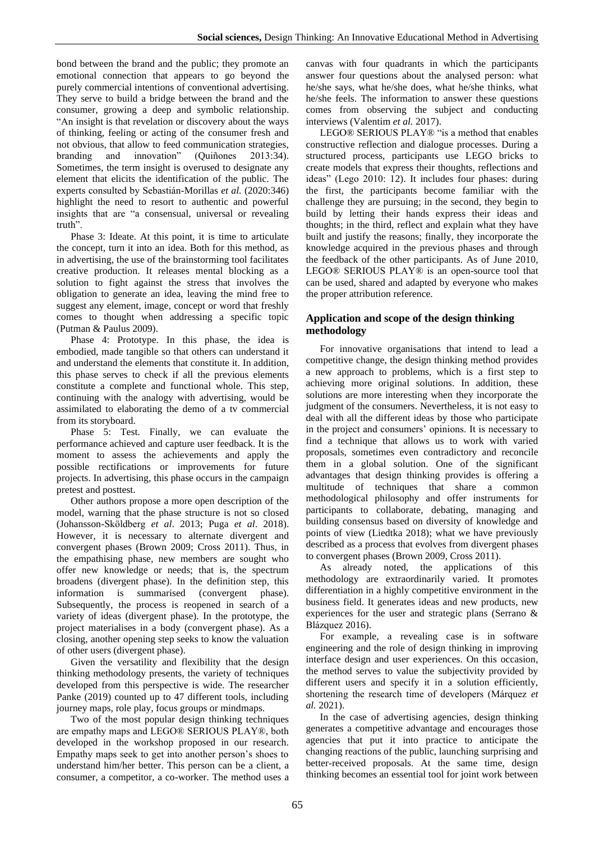bond between the brand and the public; they promote an emotional connection that appears to go beyond the purely commercial intentions of conventional advertising. They serve to build a bridge between the brand and the consumer, growing a deep and symbolic relationship. "An insight is that revelation or discovery about the ways of thinking, feeling or acting of the consumer fresh and not obvious, that allow to feed communication strategies, branding and innovation" (Quiñones 2013:34). Sometimes, the term insight is overused to designate any element that elicits the identification of the public. The experts consulted by Sebastián-Morillas *et al.* (2020:346) highlight the need to resort to authentic and powerful insights that are "a consensual, universal or revealing truth".

Phase 3: Ideate. At this point, it is time to articulate the concept, turn it into an idea. Both for this method, as in advertising, the use of the brainstorming tool facilitates creative production. It releases mental blocking as a solution to fight against the stress that involves the obligation to generate an idea, leaving the mind free to suggest any element, image, concept or word that freshly comes to thought when addressing a specific topic (Putman & Paulus 2009).

Phase 4: Prototype. In this phase, the idea is embodied, made tangible so that others can understand it and understand the elements that constitute it. In addition, this phase serves to check if all the previous elements constitute a complete and functional whole. This step, continuing with the analogy with advertising, would be assimilated to elaborating the demo of a tv commercial from its storyboard.

Phase 5: Test. Finally, we can evaluate the performance achieved and capture user feedback. It is the moment to assess the achievements and apply the possible rectifications or improvements for future projects. In advertising, this phase occurs in the campaign pretest and posttest.

Other authors propose a more open description of the model, warning that the phase structure is not so closed (Johansson-Sköldberg *et al*. 2013; Puga *et al*. 2018). However, it is necessary to alternate divergent and convergent phases (Brown 2009; Cross 2011). Thus, in the empathising phase, new members are sought who offer new knowledge or needs; that is, the spectrum broadens (divergent phase). In the definition step, this information is summarised (convergent phase). Subsequently, the process is reopened in search of a variety of ideas (divergent phase). In the prototype, the project materialises in a body (convergent phase). As a closing, another opening step seeks to know the valuation of other users (divergent phase).

Given the versatility and flexibility that the design thinking methodology presents, the variety of techniques developed from this perspective is wide. The researcher Panke (2019) counted up to 47 different tools, including journey maps, role play, focus groups or mindmaps.

Two of the most popular design thinking techniques are empathy maps and LEGO® SERIOUS PLAY®, both developed in the workshop proposed in our research. Empathy maps seek to get into another person's shoes to understand him/her better. This person can be a client, a consumer, a competitor, a co-worker. The method uses a

canvas with four quadrants in which the participants answer four questions about the analysed person: what he/she says, what he/she does, what he/she thinks, what he/she feels. The information to answer these questions comes from observing the subject and conducting interviews (Valentim *et al.* 2017).

LEGO® SERIOUS PLAY® "is a method that enables constructive reflection and dialogue processes. During a structured process, participants use LEGO bricks to create models that express their thoughts, reflections and ideas" (Lego 2010: 12). It includes four phases: during the first, the participants become familiar with the challenge they are pursuing; in the second, they begin to build by letting their hands express their ideas and thoughts; in the third, reflect and explain what they have built and justify the reasons; finally, they incorporate the knowledge acquired in the previous phases and through the feedback of the other participants. As of June 2010, LEGO® SERIOUS PLAY® is an open-source tool that can be used, shared and adapted by everyone who makes the proper attribution reference.

# **Application and scope of the design thinking methodology**

For innovative organisations that intend to lead a competitive change, the design thinking method provides a new approach to problems, which is a first step to achieving more original solutions. In addition, these solutions are more interesting when they incorporate the judgment of the consumers. Nevertheless, it is not easy to deal with all the different ideas by those who participate in the project and consumers' opinions. It is necessary to find a technique that allows us to work with varied proposals, sometimes even contradictory and reconcile them in a global solution. One of the significant advantages that design thinking provides is offering a multitude of techniques that share a common methodological philosophy and offer instruments for participants to collaborate, debating, managing and building consensus based on diversity of knowledge and points of view (Liedtka 2018); what we have previously described as a process that evolves from divergent phases to convergent phases (Brown 2009, Cross 2011).

As already noted, the applications of this methodology are extraordinarily varied. It promotes differentiation in a highly competitive environment in the business field. It generates ideas and new products, new experiences for the user and strategic plans (Serrano & Blázquez 2016).

For example, a revealing case is in software engineering and the role of design thinking in improving interface design and user experiences. On this occasion, the method serves to value the subjectivity provided by different users and specify it in a solution efficiently, shortening the research time of developers (Márquez *et al.* 2021).

In the case of advertising agencies, design thinking generates a competitive advantage and encourages those agencies that put it into practice to anticipate the changing reactions of the public, launching surprising and better-received proposals. At the same time, design thinking becomes an essential tool for joint work between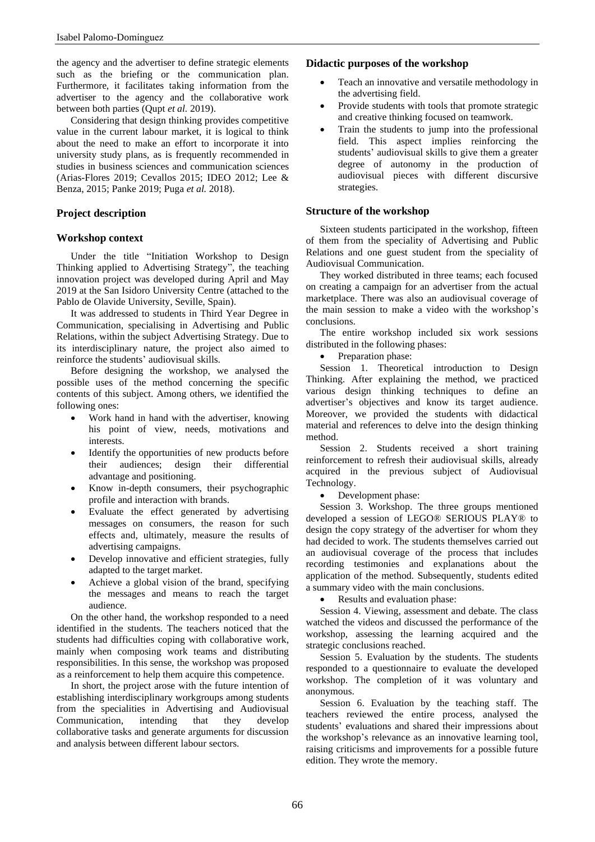the agency and the advertiser to define strategic elements such as the briefing or the communication plan. Furthermore, it facilitates taking information from the advertiser to the agency and the collaborative work between both parties (Qupt *et al.* 2019).

Considering that design thinking provides competitive value in the current labour market, it is logical to think about the need to make an effort to incorporate it into university study plans, as is frequently recommended in studies in business sciences and communication sciences (Arias-Flores 2019; Cevallos 2015; IDEO 2012; Lee & Benza, 2015; Panke 2019; Puga *et al.* 2018).

# **Project description**

### **Workshop context**

Under the title "Initiation Workshop to Design Thinking applied to Advertising Strategy", the teaching innovation project was developed during April and May 2019 at the San Isidoro University Centre (attached to the Pablo de Olavide University, Seville, Spain).

It was addressed to students in Third Year Degree in Communication, specialising in Advertising and Public Relations, within the subject Advertising Strategy. Due to its interdisciplinary nature, the project also aimed to reinforce the students' audiovisual skills.

Before designing the workshop, we analysed the possible uses of the method concerning the specific contents of this subject. Among others, we identified the following ones:

- Work hand in hand with the advertiser, knowing his point of view, needs, motivations and interests.
- Identify the opportunities of new products before their audiences; design their differential advantage and positioning.
- Know in-depth consumers, their psychographic profile and interaction with brands.
- Evaluate the effect generated by advertising messages on consumers, the reason for such effects and, ultimately, measure the results of advertising campaigns.
- Develop innovative and efficient strategies, fully adapted to the target market.
- Achieve a global vision of the brand, specifying the messages and means to reach the target audience.

On the other hand, the workshop responded to a need identified in the students. The teachers noticed that the students had difficulties coping with collaborative work, mainly when composing work teams and distributing responsibilities. In this sense, the workshop was proposed as a reinforcement to help them acquire this competence.

In short, the project arose with the future intention of establishing interdisciplinary workgroups among students from the specialities in Advertising and Audiovisual Communication, intending that they develop collaborative tasks and generate arguments for discussion and analysis between different labour sectors.

# **Didactic purposes of the workshop**

- Teach an innovative and versatile methodology in the advertising field.
- Provide students with tools that promote strategic and creative thinking focused on teamwork.
- Train the students to jump into the professional field. This aspect implies reinforcing the students' audiovisual skills to give them a greater degree of autonomy in the production of audiovisual pieces with different discursive strategies.

# **Structure of the workshop**

Sixteen students participated in the workshop, fifteen of them from the speciality of Advertising and Public Relations and one guest student from the speciality of Audiovisual Communication.

They worked distributed in three teams; each focused on creating a campaign for an advertiser from the actual marketplace. There was also an audiovisual coverage of the main session to make a video with the workshop's conclusions.

The entire workshop included six work sessions distributed in the following phases:

Preparation phase:

Session 1. Theoretical introduction to Design Thinking. After explaining the method, we practiced various design thinking techniques to define an advertiser's objectives and know its target audience. Moreover, we provided the students with didactical material and references to delve into the design thinking method.

Session 2. Students received a short training reinforcement to refresh their audiovisual skills, already acquired in the previous subject of Audiovisual Technology.

• Development phase:

Session 3. Workshop. The three groups mentioned developed a session of LEGO® SERIOUS PLAY® to design the copy strategy of the advertiser for whom they had decided to work. The students themselves carried out an audiovisual coverage of the process that includes recording testimonies and explanations about the application of the method. Subsequently, students edited a summary video with the main conclusions.

Results and evaluation phase:

Session 4. Viewing, assessment and debate. The class watched the videos and discussed the performance of the workshop, assessing the learning acquired and the strategic conclusions reached.

Session 5. Evaluation by the students. The students responded to a questionnaire to evaluate the developed workshop. The completion of it was voluntary and anonymous.

Session 6. Evaluation by the teaching staff. The teachers reviewed the entire process, analysed the students' evaluations and shared their impressions about the workshop's relevance as an innovative learning tool, raising criticisms and improvements for a possible future edition. They wrote the memory.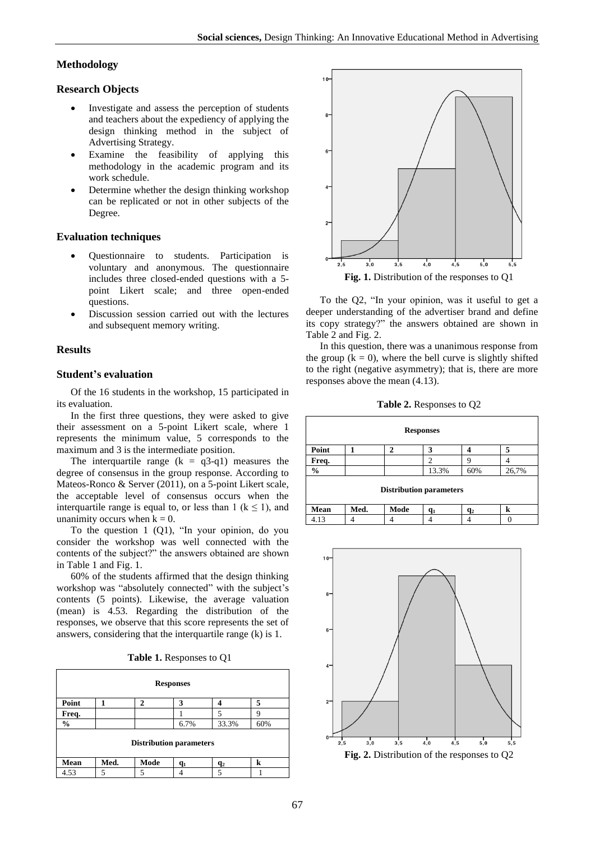#### **Methodology**

#### **Research Objects**

- Investigate and assess the perception of students and teachers about the expediency of applying the design thinking method in the subject of Advertising Strategy.
- Examine the feasibility of applying this methodology in the academic program and its work schedule.
- Determine whether the design thinking workshop can be replicated or not in other subjects of the Degree.

# **Evaluation techniques**

- Questionnaire to students. Participation is voluntary and anonymous. The questionnaire includes three closed-ended questions with a 5 point Likert scale; and three open-ended questions.
- Discussion session carried out with the lectures and subsequent memory writing.

#### **Results**

### **Student's evaluation**

Of the 16 students in the workshop, 15 participated in its evaluation.

In the first three questions, they were asked to give their assessment on a 5-point Likert scale, where 1 represents the minimum value, 5 corresponds to the maximum and 3 is the intermediate position.

The interquartile range  $(k = q3-q1)$  measures the degree of consensus in the group response. According to Mateos-Ronco & Server (2011), on a 5-point Likert scale, the acceptable level of consensus occurs when the interquartile range is equal to, or less than 1 ( $k \le 1$ ), and unanimity occurs when  $k = 0$ .

To the question 1 (Q1), "In your opinion, do you consider the workshop was well connected with the contents of the subject?" the answers obtained are shown in Table 1 and Fig. 1.

60% of the students affirmed that the design thinking workshop was "absolutely connected" with the subject's contents (5 points). Likewise, the average valuation (mean) is 4.53. Regarding the distribution of the responses, we observe that this score represents the set of answers, considering that the interquartile range (k) is 1.

**Table 1.** Responses to Q1



To the Q2, "In your opinion, was it useful to get a deeper understanding of the advertiser brand and define its copy strategy?" the answers obtained are shown in Table 2 and Fig. 2.

In this question, there was a unanimous response from the group  $(k = 0)$ , where the bell curve is slightly shifted to the right (negative asymmetry); that is, there are more responses above the mean (4.13).

**Table 2.** Responses to Q2

| <b>Responses</b>               |      |      |                             |                |       |
|--------------------------------|------|------|-----------------------------|----------------|-------|
| Point                          |      | 2    | 3                           |                | 5     |
| Freq.                          |      |      | $\mathcal{D}_{\mathcal{A}}$ | q              |       |
| $\frac{0}{0}$                  |      |      | 13.3%                       | 60%            | 26,7% |
| <b>Distribution parameters</b> |      |      |                             |                |       |
| Mean                           | Med. | Mode | $q_1$                       | q <sub>2</sub> | k     |
| 4.13                           |      |      |                             |                |       |

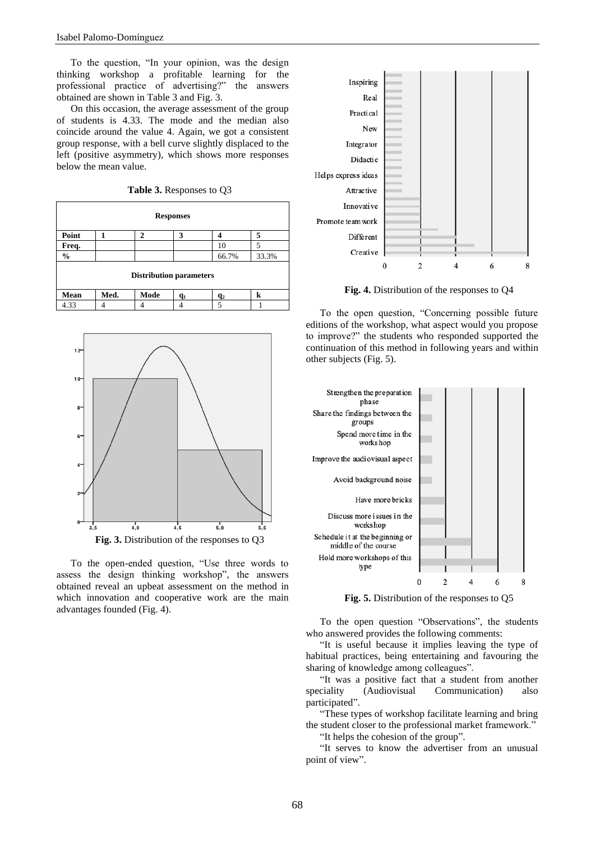To the question, "In your opinion, was the design thinking workshop a profitable learning for the professional practice of advertising?" the answers obtained are shown in Table 3 and Fig. 3.

On this occasion, the average assessment of the group of students is 4.33. The mode and the median also coincide around the value 4. Again, we got a consistent group response, with a bell curve slightly displaced to the left (positive asymmetry), which shows more responses below the mean value.

**Table 3.** Responses to Q3 **Responses Point 1 2 3 4 5 Freq.** | | | | | | 10 | 5 **%** 66.7% 33.3% **Distribution parameters**  $M$ ean |  $M$ ed. |  $M$ ode |  $q_1$  |  $q_2$  | k 4.33 4 4 4 5 1



To the open-ended question, "Use three words to assess the design thinking workshop", the answers obtained reveal an upbeat assessment on the method in which innovation and cooperative work are the main advantages founded (Fig. 4).



**Fig. 4.** Distribution of the responses to Q4

To the open question, "Concerning possible future editions of the workshop, what aspect would you propose to improve?" the students who responded supported the continuation of this method in following years and within other subjects (Fig. 5).



**Fig. 5.** Distribution of the responses to Q5

To the open question "Observations", the students who answered provides the following comments:

"It is useful because it implies leaving the type of habitual practices, being entertaining and favouring the sharing of knowledge among colleagues".

"It was a positive fact that a student from another speciality (Audiovisual Communication) also participated".

"These types of workshop facilitate learning and bring the student closer to the professional market framework."

"It helps the cohesion of the group".

"It serves to know the advertiser from an unusual point of view".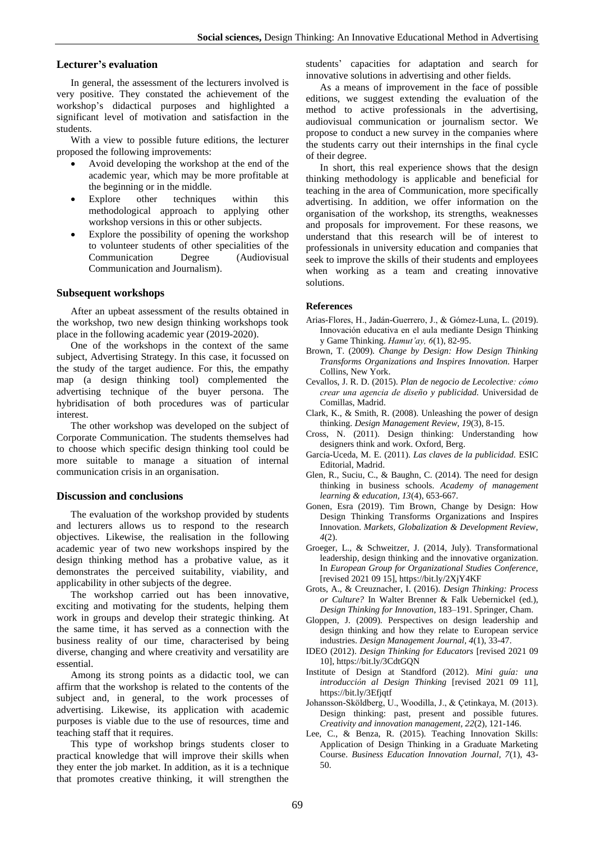#### **Lecturer's evaluation**

In general, the assessment of the lecturers involved is very positive. They constated the achievement of the workshop's didactical purposes and highlighted a significant level of motivation and satisfaction in the students.

With a view to possible future editions, the lecturer proposed the following improvements:

- Avoid developing the workshop at the end of the academic year, which may be more profitable at the beginning or in the middle.
- Explore other techniques within this methodological approach to applying other workshop versions in this or other subjects.
- Explore the possibility of opening the workshop to volunteer students of other specialities of the Communication Degree (Audiovisual Communication and Journalism).

#### **Subsequent workshops**

After an upbeat assessment of the results obtained in the workshop, two new design thinking workshops took place in the following academic year (2019-2020).

One of the workshops in the context of the same subject, Advertising Strategy. In this case, it focussed on the study of the target audience. For this, the empathy map (a design thinking tool) complemented the advertising technique of the buyer persona. The hybridisation of both procedures was of particular interest.

The other workshop was developed on the subject of Corporate Communication. The students themselves had to choose which specific design thinking tool could be more suitable to manage a situation of internal communication crisis in an organisation.

#### **Discussion and conclusions**

The evaluation of the workshop provided by students and lecturers allows us to respond to the research objectives. Likewise, the realisation in the following academic year of two new workshops inspired by the design thinking method has a probative value, as it demonstrates the perceived suitability, viability, and applicability in other subjects of the degree.

The workshop carried out has been innovative, exciting and motivating for the students, helping them work in groups and develop their strategic thinking. At the same time, it has served as a connection with the business reality of our time, characterised by being diverse, changing and where creativity and versatility are essential.

Among its strong points as a didactic tool, we can affirm that the workshop is related to the contents of the subject and, in general, to the work processes of advertising. Likewise, its application with academic purposes is viable due to the use of resources, time and teaching staff that it requires.

This type of workshop brings students closer to practical knowledge that will improve their skills when they enter the job market. In addition, as it is a technique that promotes creative thinking, it will strengthen the students' capacities for adaptation and search for innovative solutions in advertising and other fields.

As a means of improvement in the face of possible editions, we suggest extending the evaluation of the method to active professionals in the advertising, audiovisual communication or journalism sector. We propose to conduct a new survey in the companies where the students carry out their internships in the final cycle of their degree.

In short, this real experience shows that the design thinking methodology is applicable and beneficial for teaching in the area of Communication, more specifically advertising. In addition, we offer information on the organisation of the workshop, its strengths, weaknesses and proposals for improvement. For these reasons, we understand that this research will be of interest to professionals in university education and companies that seek to improve the skills of their students and employees when working as a team and creating innovative solutions.

#### **References**

- Arias-Flores, H., Jadán-Guerrero, J., & Gómez-Luna, L. (2019). Innovación educativa en el aula mediante Design Thinking y Game Thinking. *Hamut'ay, 6*(1), 82-95.
- Brown, T. (2009). *Change by Design: How Design Thinking Transforms Organizations and Inspires Innovation.* Harper Collins, New York.
- Cevallos, J. R. D. (2015). *Plan de negocio de Lecolective: cómo crear una agencia de diseño y publicidad.* Universidad de Comillas, Madrid.
- Clark, K., & Smith, R. (2008). Unleashing the power of design thinking. *Design Management Review, 19*(3), 8-15.
- Cross, N. (2011). Design thinking: Understanding how designers think and work. Oxford, Berg.
- García-Uceda, M. E. (2011). *Las claves de la publicidad.* ESIC Editorial, Madrid.
- Glen, R., Suciu, C., & Baughn, C. (2014). The need for design thinking in business schools. *Academy of management learning & education, 13*(4), 653-667.
- Gonen, Esra (2019). Tim Brown, Change by Design: How Design Thinking Transforms Organizations and Inspires Innovation. *Markets, Globalization & Development Review, 4*(2).
- Groeger, L., & Schweitzer, J. (2014, July). Transformational leadership, design thinking and the innovative organization. In *European Group for Organizational Studies Conference*, [revised 2021 09 15], https://bit.ly/2XjY4KF
- Grots, A., & Creuznacher, I. (2016). *Design Thinking: Process or Culture?* In Walter Brenner & Falk Uebernickel (ed.), *Design Thinking for Innovation*, 183–191. Springer, Cham.
- Gloppen, J. (2009). Perspectives on design leadership and design thinking and how they relate to European service industries. *Design Management Journal, 4*(1), 33-47.
- IDEO (2012). *Design Thinking for Educators* [revised 2021 09 10], https://bit.ly/3CdtGQN
- Institute of Design at Standford (2012). *Mini guía: una introducción al Design Thinking* [revised 2021 09 11], https://bit.ly/3Efjqtf
- Johansson‐Sköldberg, U., Woodilla, J., & Çetinkaya, M. (2013). Design thinking: past, present and possible futures. *Creativity and innovation management, 22*(2), 121-146.
- Lee, C., & Benza, R. (2015). Teaching Innovation Skills: Application of Design Thinking in a Graduate Marketing Course. *Business Education Innovation Journal, 7*(1), 43- 50.